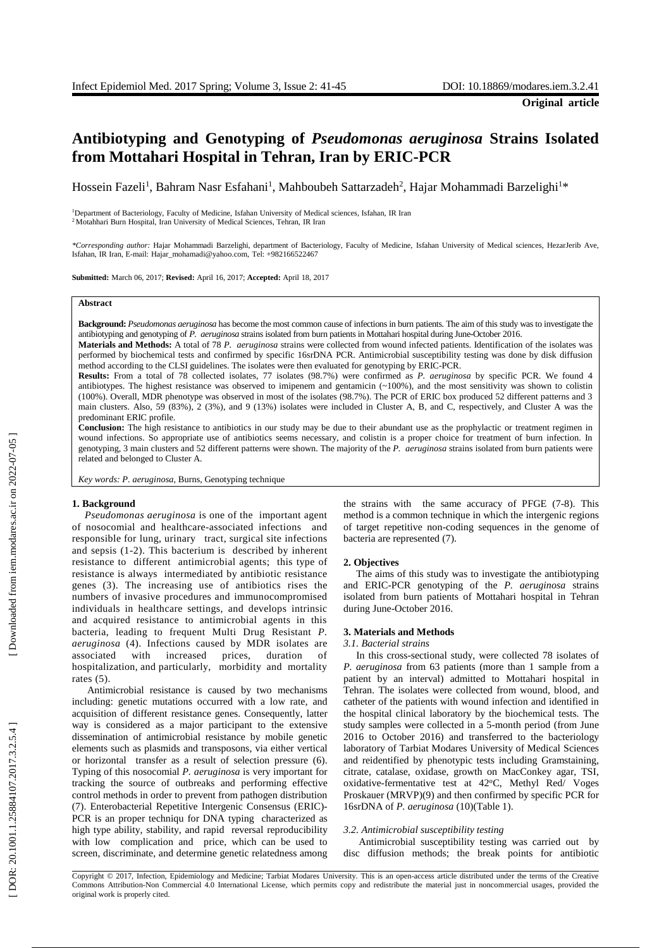# **Antibiotyping and Genotyping of** *Pseudomonas aeruginosa* **Strains Isolated from Mottahari Hospital in Tehran, Iran by ERIC -PCR**

Hossein Fazeli<sup>1</sup>, Bahram Nasr Esfahani<sup>1</sup>, Mahboubeh Sattarzadeh<sup>2</sup>, Hajar Mohammadi Barzelighi<sup>1</sup>\*

<sup>1</sup>Department of Bacteriology, Faculty of Medicine, Isfahan University of Medical sciences, Isfahan, IR Iran <sup>2</sup>Motahhari Burn Hospital, Iran University of Medical Sciences, Tehran, IR Iran

*\*Corresponding author:* Hajar Mohammadi Barzelighi, department of Bacteriology, Faculty of Medicine, Isfahan University of Medical sciences, HezarJerib Ave, Isfahan, IR Iran, E -mail: Hajar\_mohamadi@yahoo.com, Tel: +982166522467

**Submitted:** March 06, 2017; **Revised:** April 16, 2017; **Accepted:** April 18, 2017

# **Abstract**

Background: Pseudomonas aeruginosa has become the most common cause of infections in burn patients. The aim of this study was to investigate the antibiotyping and genotyping of P. aeruginosa strains isolated from burn pati

**Materials and Methods:** A total of 78 *P. aeruginosa* strains were collected from wound infected patients. Identification of the isolates was performed by biochemical tests and confirmed by specific 16srDNA PCR. Antimicrobial susceptibility testing was done by disk diffusion method according to the CLSI guidelines. The isolates were then evaluated for genotyping by ERIC -PCR.

**Results:** From a total of 78 collected isolates, 77 isolates (98.7%) were confirmed as *P. aeruginosa* by specific PCR. We found 4 antibiotypes. The highest resistance was observed to imipenem and gentamicin (~100%), and the most sensitivity was shown to colistin (100%) . Overall, MDR phenotype was observed in most of the isolates (98.7%). The PCR of ERIC box produced 52 different patterns and 3 main clusters. Also, 59 (83%), 2 (3%), and 9 (13%) isolates were included in Cluster A, B, and C, respectively, and Cluster A was the predominant ERIC profile .

**Conclusion:** The high resistance to antibiotics in our study may be due to their abundant use as the prophylactic or treatment regimen in wound infections . So appropriate use of antibiotics seems necessary , and colistin is a proper choice for treatment of burn infection. In genotyping, 3 main clusters and 52 different patterns were shown. The majority of the P. aeruginosa strains isolated from burn patients were related and belonged to Cluster A .

*Key words: P. aeruginosa,* Burns , Genotyping technique

#### **1. Background**

*Pseudomonas aeruginosa* is one of the important agent of nosocomial and healthcare -associated infections and responsible for lung, urinary tract, surgical site infections and sepsis ( 1 - 2 ). This bacterium is described by inherent resistance to different antimicrobial agents; this type of resistance is always intermediated by antibiotic resistance genes ( 3 ) . The increasing use of antibiotics rises the numbers of invasive procedures and immunocompromised individuals in healthcare settings, and develop s intrinsic and acquired resistance to antimicrobial agents in this bacteria , leading to frequent Multi Drug Resistant *P.*  aeruginosa (4). Infections caused by MDR isolates are associated with increased prices, duration of hospitalization, and particularly, morbidity and mortality rates (5).

Antimicrobial resistance is caused by two mechanisms including: genetic mutation s occurred with a low rate , and acquisition of different resistance genes. Consequently, latter way is considered as a major participant to the extensive dissemination of antimicrobial resistance by mobile genetic elements such as plasmids and transposons, via either vertical or horizontal transfer as a result of selection pressure ( 6 ). Typing of this nosocomial *P. aeruginosa* is very important for tracking the source of outbreaks and performing effective control methods in order to prevent from pathogen distribution (7). Enterobacterial Repetitive Intergenic Consensus (ERIC)- PCR is an proper techniqu for DNA typing characterized as high type ability, stability, and rapid reversal reproducibility with low complication and price , which can be used to screen, discriminate, and determine genetic relatedness among

the strains with the same accuracy of PFGE (7-8). This method is a common technique in which the intergenic regions of target repetitive non -coding sequences in the genome of bacteria are represented (7).

## **2. Objectives**

The aims of this study was to investigate the antibiotyping and ERIC -PCR genotyping of the *P. aeruginosa* strains isolated from burn patients of Mottahari hospital in Tehran during June -October 2016 .

#### **3. Material s and Methods**

#### *3.1. Bacterial strains*

In this cross -sectional study, were collected 7 8 isolates of *P. aeruginosa* from 63 patients (more than 1 sample from a patient by an interval ) admitted to Mottahari hospital in Tehran . The isolates were coll ected from wound, blood , and catheter of the patients with wound infection and identified in the hospital clinical laboratory by the biochemical tests. The study samples were collected in a 5 -month period (from June 2016 to October 2016) and transferred to the bacteriology laboratory of Tarbiat Modares University of Medical Sciences and reidentified by phenotypic tests including Gramstaining, citrate, catalase, oxidase, growth on MacConkey agar, TSI, oxidative-fermentative test at 42°C, Methyl Red/ Voges Proskauer (MRVP)(9) and then confirmed by specific PCR for 16sr DNA of *P. aeruginosa* (10) ( Table 1).

## *3.2. Antimicrobial susceptibility testing*

Antimicrobial susceptibility testing was carried out by disc diffusion methods ; the break points for antibiotic

Copyright © 2017, Infection, Epidemiology and Medicine; Tarbiat Modares University. This is an open -access article distributed under the terms of the Creative Commons Attribution -Non Commercial 4.0 International License, which permits copy and redistribute the material just in noncommercial usages, provided the original work is properly cited.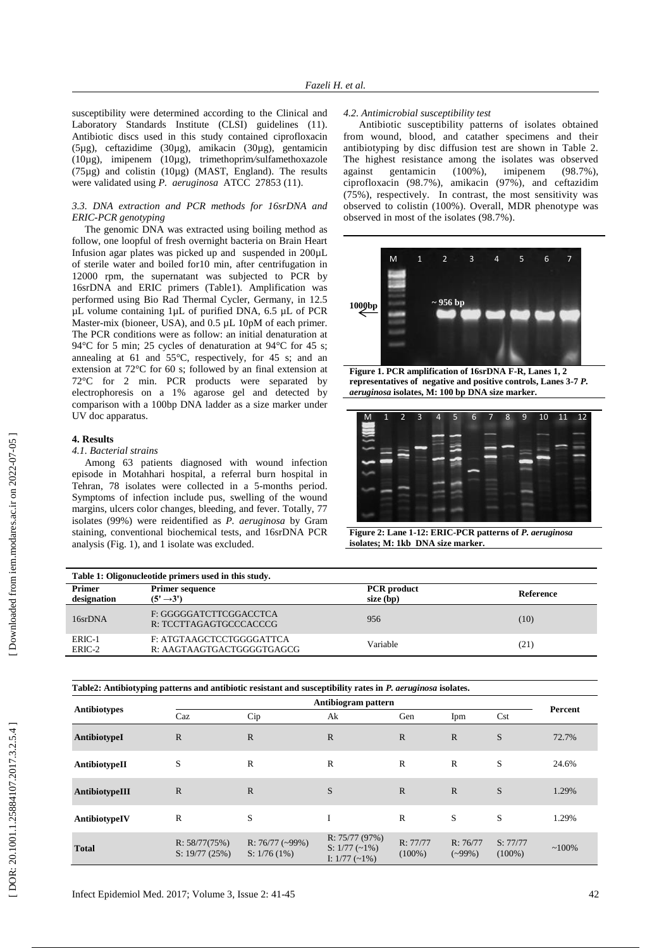susceptibility were determined according to the Clinical and Laboratory Standards Institute (CLSI) guidelines (11). Antibiotic dis c s used in this study contained ciprofloxacin (5µg), ceftazidime (30µg), amikacin (30µg), gentamicin (10µg), imipenem (10µg), trimethoprim*/*sulfamethoxazole (75µg ) and colistin (10µg) (MAST, England) . The results were validated using *P. aeruginosa* ATCC 27853 (11) .

# *3.3. DNA extraction and PCR methods for 16srDNA and ERIC -PCR genotyping*

The genomic DNA was extracted using boiling method as follow, one loopful of fresh overnight bacteria on Brain Heart Infusion agar plates was picked up and suspended in 200µ L of sterile water and boiled for10 min, after centrifugation in 12000 rpm, the supernatant was subjected to PCR by 16srDNA and ERIC primers ( Table1). Amplification was performed using Bio Rad Thermal Cycler, Germany, in 12.5 µL volume containing 1µL of purified DNA, 6.5 µL of PCR Master-mix (bioneer, USA), and 0.5 µL 10pM of each primer. The PCR conditions were as follow: an initial denaturation at 94°C for 5 min; 25 cycles of denaturation at 94°C for 45 s; annealing at 61 and 55°C, respectively, for 45 s; and an extension at 72°C for 60 s ; followed by an final extension at 72°C for 2 min. PCR products were separated by electrophoresis on a 1% agarose gel and detected by comparison with a 100bp DNA ladder as a size marker under UV doc apparatus.

## **4. Results**

### *4.1. Bacterial strains*

Among 63 patients diagnosed with wound infection episode in Motah hari hospital, a referral burn hospital in Tehran, 7 8 isolates were collected in a 5 -months period . Symptoms of infection include pus, swelling of the wound margins, ulcers color changes, bleeding, and fever. Totally, 77 isolates (9 9%) were reidentified as *P. aeruginosa* by Gram staining, conventional biochemical tests , and 16sr DNA PCR analysis ( Fig. 1) , and 1 isolate was excluded.

## *4.2. Antimicrobial susceptibility test*

Antibiotic susceptibility patterns of isolates obtained from wound, blood, and catather specimens and their antibiotyping by disc diffusion test are shown in Table 2. The highest resistance among the isolates was observed against gentamic in  $(100\%)$ , imipenem  $(98.7\%)$ . against gentamicin (100%), imipenem (98.7%), ciprofloxacin (98.7%), amikacin (97%), and ceftazidim (75%), respectively. In contrast, the most sensitivity was observed to colistin (100%). Overall, MDR phenotype was observed in most of the isolates (98.7%).



**Figure 1. PCR amplification of 16srDNA F -R, Lanes 1, 2 representatives of negative and positive controls, Lanes 3 -7** *P. aeruginosa* **isolates, M: 100 bp DNA size marker.**



**Figure 2: Lane 1 -12: ERIC -PCR patterns of** *P. aeruginosa* **isolates; M: 1kb DNA size marker.**

| Table 1: Oligonucleotide primers used in this study. |                                                       |                                 |                  |  |  |  |  |  |
|------------------------------------------------------|-------------------------------------------------------|---------------------------------|------------------|--|--|--|--|--|
| Primer<br>designation                                | <b>Primer sequence</b><br>$(5' \rightarrow 3')$       | <b>PCR</b> product<br>size (bp) | <b>Reference</b> |  |  |  |  |  |
| 16srDNA                                              | F: GGGGGATCTTCGGACCTCA<br>R: TCCTTAGAGTGCCCACCCG      | 956                             | (10)             |  |  |  |  |  |
| $ERIC-1$<br>ERIC-2                                   | F: ATGTAAGCTCCTGGGGATTCA<br>R: AAGTAAGTGACTGGGGTGAGCG | Variable                        | (21)             |  |  |  |  |  |

# **Table2: Antibiotyping patterns and antibiotic resistant and susceptibility rates in** *P. aeruginosa* **isolates.**

| Antibiotypes   | Antibiogram pattern            |                                  |                                                     |                       |                       |                       | Percent  |
|----------------|--------------------------------|----------------------------------|-----------------------------------------------------|-----------------------|-----------------------|-----------------------|----------|
|                | Caz                            | Cip                              | Ak                                                  | Gen                   | Ipm                   | Cst                   |          |
| AntibiotypeI   | $\mathbb{R}$                   | $\mathbb{R}$                     | $\mathbb{R}$                                        | $\mathbb{R}$          | $\mathbb{R}$          | S                     | 72.7%    |
| AntibiotypeII  | S                              | R                                | R                                                   | $\mathbb{R}$          | R                     | S                     | 24.6%    |
| AntibiotypeIII | $\mathbb{R}$                   | $\mathbb{R}$                     | S                                                   | $\mathbb{R}$          | $\mathbb{R}$          | S                     | 1.29%    |
| AntibiotypeIV  | $\mathbb{R}$                   | S                                | Ι                                                   | $\mathbb{R}$          | S                     | S                     | 1.29%    |
| <b>Total</b>   | R: 58/77(75%)<br>S: 19/77(25%) | $R: 76/77$ (~99%)<br>S: 1/76(1%) | R: 75/77(97%)<br>S: $1/77$ (~1%)<br>I: $1/77$ (~1%) | R: 77/77<br>$(100\%)$ | R: 76/77<br>$(-99\%)$ | S: 77/77<br>$(100\%)$ | $~100\%$ |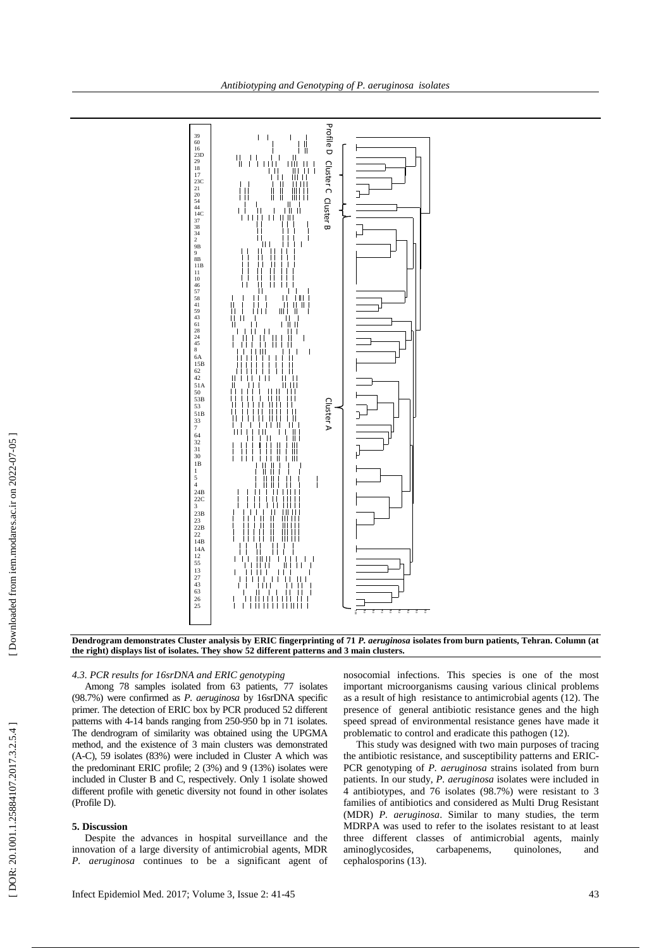

**Dendrogram demonstrates Cluster analysis by ERIC fingerprinting of 71** *P. aeruginosa* **isolates from burn patients, Tehran. Column (at the right) displays list of isolates. They show 52 different patterns and 3 main clusters.**

# *4.3. PCR results for 16srDNA and ERIC genotyping*

Among 78 samples isolated from 63 patients, 77 isolates (98.7%) were confirmed as *P. aeruginosa* by 16srDNA spec ific primer. The detection of ERIC box by PCR produced 52 different patterns with 4-14 bands ranging from 250-950 bp in 71 isolates. The dendrogram of similarity was obtained using the UPGMA method , and the existence of 3 main clusters was demonstrated (A - C), 59 isolates (83%) were included in Cluster A which was the predominant ERIC profile; 2 (3%) and 9 (13%) isolates were included in Cluster B and C, respectively. Only 1 isolate showed different profile with genetic diversity not found in other isolates (Profile D).

## **5. Discussion**

Despite the advances in hospital surveillance and the innovation of a large diversity of antimicrobial agents, MDR *P. aeruginosa* continues to be a significant agent of

nosocomial infections. This species is one of the most important microorganisms causing various clinical problems as a result of high resistance to antimicrobial agents (12). The presence of general antibiotic resistance genes and the high speed spread of environmental resistance genes have made it problematic to control and eradicate this pathogen (12) .

This study was designed with two main purposes of tracing the antibiotic resistance, and susceptibility patterns and ERIC - PCR genotyping of *P. aeruginosa* strains isolated from burn patients. In our study, *P. aeruginosa* isolates were included in 4 antibiotypes , and 76 isolates (98.7%) were resistant to 3 families of antibiotics and considered as Multi Drug Resistant (MDR) *P. aeruginosa*. Similar to many studies, the term MDRPA was used to refer to the isolates resistant to at least three different classes of antimicrobial agents, mainly aminoglycosides, carbapenems, quinolones, and cephalosporins (13) .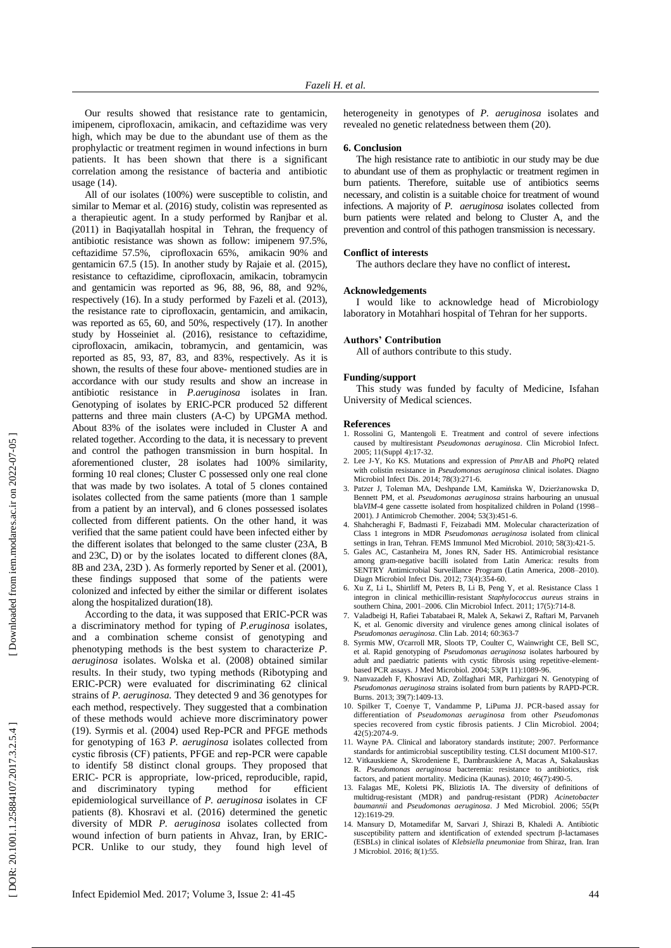Our results showed that resistance rate to gentamicin, imipenem , ciprofloxacin, amikacin , and ceftazidime was very high , which may be due to the abundant use of them as the prophylactic or treatment regimen in wound infections in burn patients . It has been shown that there is a significant correlation among the resistance of bacteria and antibiotic usage (14) .

All of our isolates (100%) were susceptible to colistin , and similar to Memar et al. (2016 ) study, colistin was represented as a therapieutic agent. In a study performed by Ranjbar et al. (2011 ) in Baqiyatallah hospital in Tehran, the frequency of antibiotic resistance was shown as follow : imipenem 97.5%, ceftazidime 57.5%, ciprofloxacin 65%, amikacin 90 % and gentamicin 67.5 (15). In another study by Rajaie et al. (2015 ), resistance to ceftazidime , ciprofloxacin, amikacin, tobramycin and gentamicin was reported as 96, 88, 96, 88 , and 92%, respectively (16). In a study performed by Fazel i et al. (2013), the resistance rate to ciprofloxacin , gentamicin, and amikacin, was reported as 65 , 60 , and 50%, respectively (17) . In another study by Hosseiniet al. (2016 ) , resistance to ceftazidime, ciprofloxacin, amikacin, tobramycin, and gentamicin , was reported as 85, 93, 87, 83 , and 83%, respectively . As it is shown, the results of these four above - mentioned studies are in accordance with our study results and show an increase in antibiotic resistance in *P .aeruginosa* isolates in Iran. Genotyping of isolates by ERIC -PCR produced 52 different patterns and three main clusters (A -C) by UPGMA method . About 83% of the isolates were included in Cluster A and related together . According to the data, it is necessary to prevent and control the pathogen transmission in burn hospital. In aforementioned cluster, 28 isolates had 100% similarity, forming 10 real clones; Cluster C possessed only one real clone that was made by two isolates. A total of 5 clones contained isolates collected from the same patients (more than 1 sample from a patient by an interval) , and 6 clones possessed isolates collected from different patients. On the other hand, it was verified that the same patient could have been infected either by the different isolates that belonged to the same cluster (23A, B and 23C, D) or by the isolates located to different clones ( 8A, 8B and 23A, 23D ). As formerly reported by Sener et al. (2001 ), these findings supposed that some of the patients were colonized and infected by either the similar or different isolates along the hospitalized duration(18) .

According to the data, it was suppose d that ERIC -PCR was a discriminatory method for typin g of *P.eruginosa* isolates , and a combination scheme consist of genotyping and phenotyping met hods is the best system to characterize *P. aeruginosa* isolates. Wolska et al. (2008 ) obtained similar results. In their study , two typing methods (Ribotyping and ERIC -PCR) were evaluated for discriminating 62 clinical strains of *P. aeruginosa.* They detected 9 and 36 genotypes for each method, respectively. They suggested that a combination of these methods would achieve more discriminatory power (19) . Syrmis et al. (2004 ) used Rep -PCR and PFGE methods for genotyping of 163 *P. aeruginosa* isolates collected from cystic fibrosis (CF) patients, PFGE and rep -PCR were capable to identify 58 distinct clonal groups. They proposed that ERIC- PCR is appropriate, low-priced, reproducible, rapid, and discriminatory typing method for efficient epidemiological surveillance of *P. aeruginosa* isolates in CF patients (8) . Khosravi et al. (2016 ) determined the genetic diversity of MDR *P. aeruginosa* isolates collected from wound infection of burn patients in Ahvaz, Iran, by ERIC - PCR. Unlike to our study, they found high level of heterogeneity in genotypes of *P. aeruginosa* isolates and revealed no genetic relatedness between them (20) .

#### **6. Conclusion**

The high resistance rate to antibiotic in our study may be due to abundant use of them as prophylactic or treatment regimen in burn patients . Therefore , suitable use of antibiotics seems necessary, and colistin is a suitable choice for treatment of wound infections. A majority of *P. aeruginosa* isolates collected from burn patients were related and belong to Cluster A , and the prevention and control of this pathogen transmission is necessary.

# **Conflict of interests**

The authors declare they have no conflict of interest **.**

## **Acknowledgements**

I would like to acknowledge head of Microbiology laboratory in Motahhari hospital of Tehran for her supports .

#### **Authors' Contribution**

All of authors contribute to this study .

#### **Funding/support**

This study was funded by faculty of Medicine , Isfahan University of Medical sciences.

#### **References**

- 1. Rossolini G, Mantengoli E. Treatment and control of severe infections caused by multiresistant *Pseudomonas aeruginosa*. Clin Microbiol Infect. 2005; 11(Suppl 4):17 -32.
- 2. Lee J -Y, Ko KS. Mutations and expression of *Pmr*AB and *Pho*PQ related with colistin resistance in *Pseudomonas aeruginosa* clinical isolates. Diagno Microbiol Infect Dis. 2014; 78(3):271 -6.
- 3. Patzer J, Toleman MA, Deshpande LM, Kamińska W, Dzierżanowska D, Bennett PM, et al. *Pseudomonas aeruginosa* strains harbouring an unusual bla*VIM-*4 gene cassette isolated from hospitalized children in Poland (1998– 2001). J Antimicrob Chemother. 2004; 53(3):451 -6.
- 4. Shahcheraghi F, Badmasti F, Feizabadi MM. Molecular characterization of Class 1 integrons in MDR *Pseudomonas aeruginosa* isolated from clinical settings in Iran, Tehran. FEMS Immunol Med Microbiol. 2010; 58(3):421 -5.
- 5. Gales AC, Castanheira M, Jones RN, Sader HS. Antimicrobial resistance among gram -negative bacilli isolated from Latin America: results from SENTRY Antimicrobial Surveillance Program (Latin America, 2008 –2010). Diagn Microbiol Infect Dis. 2012; 73(4):354 -60.
- 6. Xu Z, Li L, Shirtliff M, Peters B, Li B, Peng Y, et al. Resistance Class 1 integron in clinical methicillin ‐resistant *Staphylococcus aureus* strains in southern China, 2001 –2006. Clin Microbiol Infect. 2011; 17(5):714 -8.
- 7. Valadbeigi H, Rafiei Tabatabaei R, Malek A, Sekawi Z, Raftari M, Parvaneh K, et al. Genomic diversity and virulence genes among clinical isolates of *Pseudomonas aeruginosa*. Clin Lab. 2014; 60:363 - 7
- 8. Syrmis MW, O'carroll MR, Sloots TP, Coulter C, Wainwright CE, Bell SC, et al. Rapid genotyping of *Pseudomonas aeruginosa* isolates harboured by adult and paediatric patients with cystic fibrosis using repetitive-elementbased PCR assays. J Med Microbiol. 2004; 53(Pt 11):1089 -96.
- 9. Nanvazadeh F, Khosravi AD, Zolfaghari MR, Parhizgari N. Genotyping of *Pseudomonas aeruginosa* strains isolated from burn patients by RAPD -PCR. Burns. 2013; 39(7):1409 -13.
- 10. Spilker T, Coenye T, Vandamme P, LiPuma JJ. PCR -based assay for differentiation of *Pseudomonas aeruginosa* from other *Pseudomonas* species recovered from cystic fibrosis patients. J Clin Microbiol. 2004; 42(5):2074 -9.
- 11. Wayne PA. Clinical and laboratory standards institute; 2007. Performance standards for antimicrobial susceptibility testing. CLSI document M100 -S17.
- 12. Vitkauskiene A, Skrodeniene E, Dambrauskiene A, Macas A, Sakalauskas R. *Pseudomonas aeruginosa* bacteremia: resistance to antibiotics, risk factors, and patient mortality. Medicina (Kaunas). 2010; 46(7):490 -5.
- 13. Falagas ME, Koletsi PK, Bliziotis IA. The diversity of definitions of multidrug -resistant (MDR) and pandrug -resistant (PDR) *Acinetobacter baumannii* and *Pseudomonas aeruginosa*. J Med Microbiol. 2006; 55(Pt 12):1619 -29.
- 14. Mansury D, Motamedifar M, Sarvari J, Shirazi B, Khaledi A. Antibiotic susceptibility pattern and identification of extended spectrum β-lactamases (ESBLs) in clinical isolates of *Klebsiella pneumoniae* from Shiraz, Iran. Iran J Microbiol. 2016; 8(1):55.